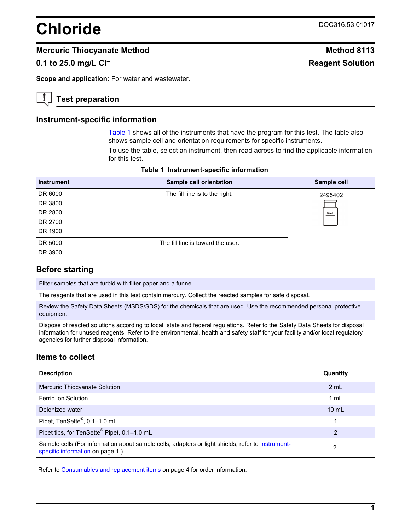# **Chloride** DOC316.53.01017

## **Mercuric Thiocyanate Method Method 8113**

## **0.1 to 25.0 mg/L CI<sup>-</sup> <b>Reagent Solution**

**Scope and application:** For water and wastewater.

# **Test preparation**

#### **Instrument-specific information**

[Table 1](#page-0-0) shows all of the instruments that have the program for this test. The table also shows sample cell and orientation requirements for specific instruments.

To use the table, select an instrument, then read across to find the applicable information for this test.

<span id="page-0-1"></span><span id="page-0-0"></span>

| <b>Instrument</b> | Sample cell orientation           | Sample cell |
|-------------------|-----------------------------------|-------------|
| DR 6000           | The fill line is to the right.    | 2495402     |
| DR 3800           |                                   |             |
| DR 2800           |                                   | $10$ mL     |
| DR 2700           |                                   |             |
| DR 1900           |                                   |             |
| DR 5000           | The fill line is toward the user. |             |
| DR 3900           |                                   |             |

**Table 1 Instrument-specific information** 

## **Before starting**

Filter samples that are turbid with filter paper and a funnel.

The reagents that are used in this test contain mercury. Collect the reacted samples for safe disposal.

Review the Safety Data Sheets (MSDS/SDS) for the chemicals that are used. Use the recommended personal protective equipment.

Dispose of reacted solutions according to local, state and federal regulations. Refer to the Safety Data Sheets for disposal information for unused reagents. Refer to the environmental, health and safety staff for your facility and/or local regulatory agencies for further disposal information.

### **Items to collect**

| <b>Description</b>                                                                                                                    | Quantity        |
|---------------------------------------------------------------------------------------------------------------------------------------|-----------------|
| Mercuric Thiocyanate Solution                                                                                                         | 2 mL            |
| Ferric Ion Solution                                                                                                                   | 1 mL            |
| Dejonized water                                                                                                                       | $10 \text{ mL}$ |
| Pipet, TenSette®, 0.1-1.0 mL                                                                                                          | 1               |
| Pipet tips, for TenSette® Pipet, 0.1-1.0 mL                                                                                           | 2               |
| Sample cells (For information about sample cells, adapters or light shields, refer to Instrument-<br>specific information on page 1.) | 2               |

Refer to [Consumables and replacement items](#page-3-0) on page 4 for order information.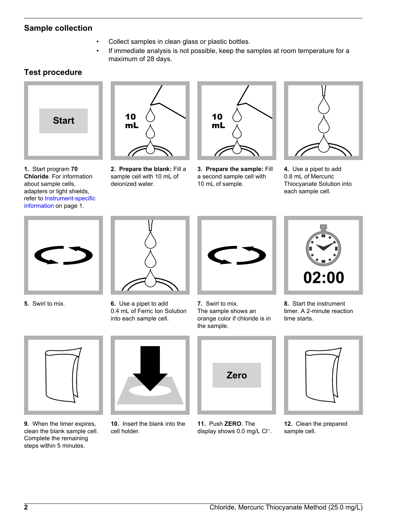# **Sample collection**

- Collect samples in clean glass or plastic bottles.
- If immediate analysis is not possible, keep the samples at room temperature for a maximum of 28 days.

# **Test procedure**



**1.** Start program **70 Chloride**. For information about sample cells, adapters or light shields, refer to [Instrument-specific](#page-0-1) [information](#page-0-1) on page 1.



**2. Prepare the blank:** Fill a sample cell with 10 mL of deionized water.



**3. Prepare the sample:** Fill a second sample cell with 10 mL of sample.



**4.** Use a pipet to add 0.8 mL of Mercuric Thiocyanate Solution into each sample cell.





**5.** Swirl to mix. **6.** Use a pipet to add 0.4 mL of Ferric Ion Solution into each sample cell.



**7.** Swirl to mix. The sample shows an orange color if chloride is in the sample.



**8.** Start the instrument timer. A 2-minute reaction time starts.



**9.** When the timer expires, clean the blank sample cell. Complete the remaining steps within 5 minutes.



**10.** Insert the blank into the cell holder.



**11.** Push **ZERO**. The display shows 0.0 mg/L Cl<sup>-</sup>.



**12.** Clean the prepared sample cell.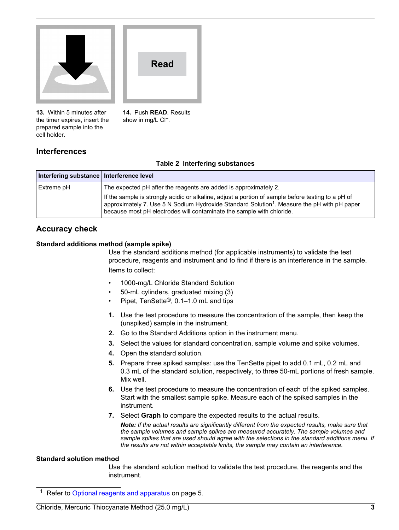

**13.** Within 5 minutes after the timer expires, insert the prepared sample into the cell holder.

**14.** Push **READ**. Results show in mg/L CI<sup>-</sup>.

**Read**

# **Interferences**

#### **Table 2 Interfering substances**

| Interfering substance   Interference level |                                                                                                                                                                                                                                                                                        |
|--------------------------------------------|----------------------------------------------------------------------------------------------------------------------------------------------------------------------------------------------------------------------------------------------------------------------------------------|
| Extreme pH                                 | The expected pH after the reagents are added is approximately 2.                                                                                                                                                                                                                       |
|                                            | If the sample is strongly acidic or alkaline, adjust a portion of sample before testing to a pH of<br>approximately 7. Use 5 N Sodium Hydroxide Standard Solution <sup>1</sup> . Measure the pH with pH paper<br>because most pH electrodes will contaminate the sample with chloride. |

## **Accuracy check**

#### **Standard additions method (sample spike)**

Use the standard additions method (for applicable instruments) to validate the test procedure, reagents and instrument and to find if there is an interference in the sample. Items to collect:

- 1000-mg/L Chloride Standard Solution
- 50-mL cylinders, graduated mixing (3)
- Pipet, TenSette®, 0.1–1.0 mL and tips
- **1.** Use the test procedure to measure the concentration of the sample, then keep the (unspiked) sample in the instrument.
- **2.** Go to the Standard Additions option in the instrument menu.
- **3.** Select the values for standard concentration, sample volume and spike volumes.
- **4.** Open the standard solution.
- **5.** Prepare three spiked samples: use the TenSette pipet to add 0.1 mL, 0.2 mL and 0.3 mL of the standard solution, respectively, to three 50-mL portions of fresh sample. Mix well.
- **6.** Use the test procedure to measure the concentration of each of the spiked samples. Start with the smallest sample spike. Measure each of the spiked samples in the instrument.
- **7.** Select **Graph** to compare the expected results to the actual results.

*Note: If the actual results are significantly different from the expected results, make sure that the sample volumes and sample spikes are measured accurately. The sample volumes and sample spikes that are used should agree with the selections in the standard additions menu. If the results are not within acceptable limits, the sample may contain an interference.*

#### **Standard solution method**

Use the standard solution method to validate the test procedure, the reagents and the instrument.

<sup>1</sup> Refer to [Optional reagents and apparatus](#page-4-0) on page 5.

Chloride, Mercuric Thiocyanate Method (25.0 mg/L) **3**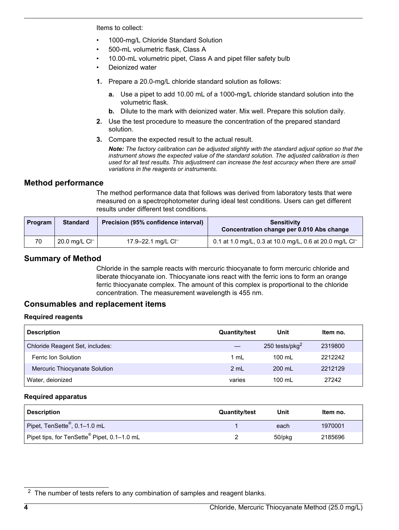Items to collect:

- 1000-mg/L Chloride Standard Solution
- 500-mL volumetric flask, Class A
- 10.00-mL volumetric pipet, Class A and pipet filler safety bulb
- Deionized water
- **1.** Prepare a 20.0-mg/L chloride standard solution as follows:
	- **a.** Use a pipet to add 10.00 mL of a 1000-mg/L chloride standard solution into the volumetric flask.
	- **b.** Dilute to the mark with deionized water. Mix well. Prepare this solution daily.
- **2.** Use the test procedure to measure the concentration of the prepared standard solution.
- **3.** Compare the expected result to the actual result.

*Note: The factory calibration can be adjusted slightly with the standard adjust option so that the instrument shows the expected value of the standard solution. The adjusted calibration is then used for all test results. This adjustment can increase the test accuracy when there are small variations in the reagents or instruments.*

### **Method performance**

The method performance data that follows was derived from laboratory tests that were measured on a spectrophotometer during ideal test conditions. Users can get different results under different test conditions.

<span id="page-3-0"></span>

| <b>Program</b> | <b>Standard</b>           | Precision (95% confidence interval) | <b>Sensitivity</b><br>Concentration change per 0.010 Abs change     |
|----------------|---------------------------|-------------------------------------|---------------------------------------------------------------------|
| 70             | 20.0 mg/L Cl <sup>-</sup> | 17.9–22.1 mg/L CI <sup>-1</sup>     | 0.1 at 1.0 mg/L, 0.3 at 10.0 mg/L, 0.6 at 20.0 mg/L Cl <sup>-</sup> |

## **Summary of Method**

Chloride in the sample reacts with mercuric thiocyanate to form mercuric chloride and liberate thiocyanate ion. Thiocyanate ions react with the ferric ions to form an orange ferric thiocyanate complex. The amount of this complex is proportional to the chloride concentration. The measurement wavelength is 455 nm.

## **Consumables and replacement items**

#### **Required reagents**

| <b>Description</b>              | <b>Quantity/test</b> | Unit               | Item no. |
|---------------------------------|----------------------|--------------------|----------|
| Chloride Reagent Set, includes: |                      | 250 tests/pkg $^2$ | 2319800  |
| Ferric Ion Solution             | 1 mL                 | 100 mL             | 2212242  |
| Mercuric Thiocyanate Solution   | 2 mL                 | 200 mL             | 2212129  |
| Water, deionized                | varies               | 100 mL             | 27242    |

#### **Required apparatus**

| <b>Description</b>                                      | <b>Quantity/test</b> | Unit   | Item no. |
|---------------------------------------------------------|----------------------|--------|----------|
| Pipet, TenSette <sup>®</sup> , 0.1-1.0 mL               |                      | each   | 1970001  |
| Pipet tips, for TenSette <sup>®</sup> Pipet, 0.1-1.0 mL |                      | 50/pkg | 2185696  |

 $2$  The number of tests refers to any combination of samples and reagent blanks.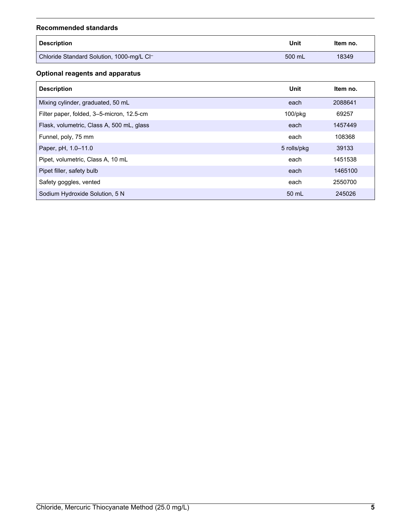#### **Recommended standards**

<span id="page-4-0"></span>

| <b>Description</b>                        | Unit   | Item no. |
|-------------------------------------------|--------|----------|
| Chloride Standard Solution, 1000-mg/L Cl- | 500 mL | 18349    |

## **Optional reagents and apparatus**

| <b>Description</b>                        | Unit          | Item no. |
|-------------------------------------------|---------------|----------|
| Mixing cylinder, graduated, 50 mL         | each          | 2088641  |
| Filter paper, folded, 3-5-micron, 12.5-cm | $100$ /p $kg$ | 69257    |
| Flask, volumetric, Class A, 500 mL, glass | each          | 1457449  |
| Funnel, poly, 75 mm                       | each          | 108368   |
| Paper, pH, 1.0-11.0                       | 5 rolls/pkg   | 39133    |
| Pipet, volumetric, Class A, 10 mL         | each          | 1451538  |
| Pipet filler, safety bulb                 | each          | 1465100  |
| Safety goggles, vented                    | each          | 2550700  |
| Sodium Hydroxide Solution, 5 N            | 50 mL         | 245026   |